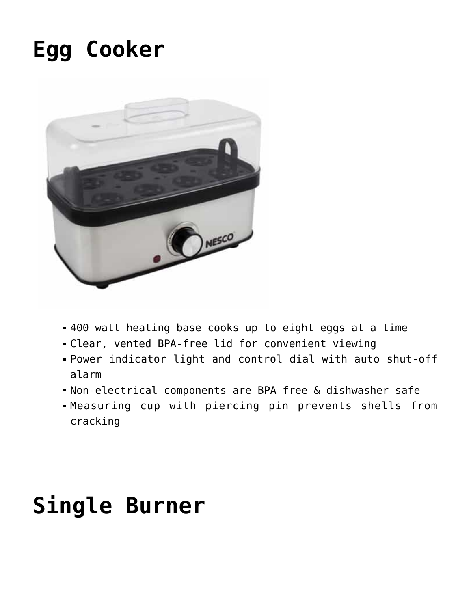## **[Egg Cooker](https://www.nesco.com/product/egg-cooker/)**



- 400 watt heating base cooks up to eight eggs at a time
- Clear, vented BPA-free lid for convenient viewing
- Power indicator light and control dial with auto shut-off alarm
- Non-electrical components are BPA free & dishwasher safe
- Measuring cup with piercing pin prevents shells from cracking

### **[Single Burner](https://www.nesco.com/product/single-burner/)**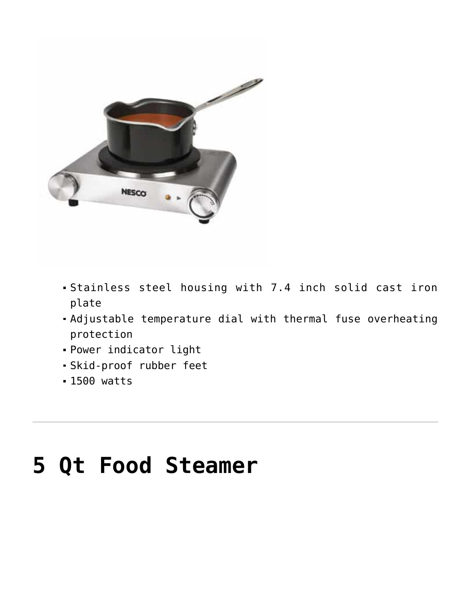

- Stainless steel housing with 7.4 inch solid cast iron plate
- Adjustable temperature dial with thermal fuse overheating protection
- Power indicator light
- Skid-proof rubber feet
- 1500 watts

## **[5 Qt Food Steamer](https://www.nesco.com/product/5-qt-food-steamer/)**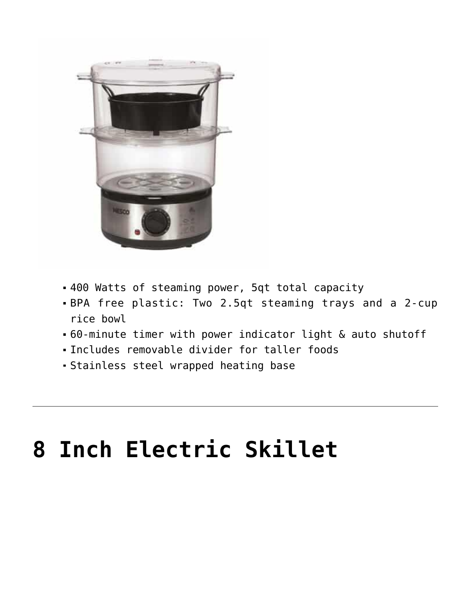

- 400 Watts of steaming power, 5qt total capacity
- BPA free plastic: Two 2.5qt steaming trays and a 2-cup rice bowl
- 60-minute timer with power indicator light & auto shutoff
- Includes removable divider for taller foods
- Stainless steel wrapped heating base

### **[8 Inch Electric Skillet](https://www.nesco.com/product/8-inch-electric-skillet/)**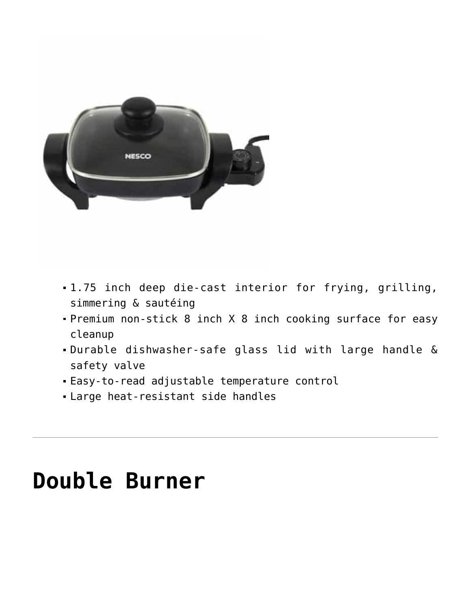

- 1.75 inch deep die-cast interior for frying, grilling, simmering & sautéing
- Premium non-stick 8 inch X 8 inch cooking surface for easy cleanup
- Durable dishwasher-safe glass lid with large handle & safety valve
- Easy-to-read adjustable temperature control
- Large heat-resistant side handles

#### **[Double Burner](https://www.nesco.com/product/double-burner/)**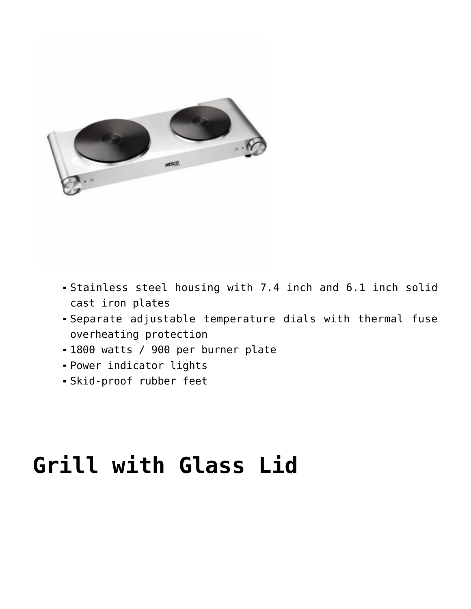

- Stainless steel housing with 7.4 inch and 6.1 inch solid cast iron plates
- Separate adjustable temperature dials with thermal fuse overheating protection
- 1800 watts / 900 per burner plate
- Power indicator lights
- Skid-proof rubber feet

# **[Grill with Glass Lid](https://www.nesco.com/product/grill-with-glass-lid/)**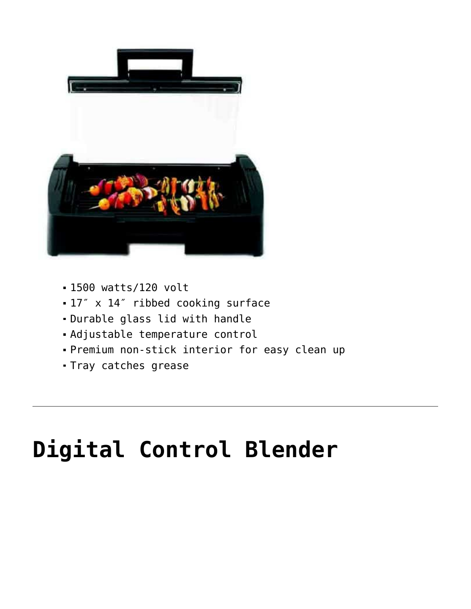

- 1500 watts/120 volt
- 17″ x 14″ ribbed cooking surface
- Durable glass lid with handle
- Adjustable temperature control
- Premium non-stick interior for easy clean up
- Tray catches grease

## **[Digital Control Blender](https://www.nesco.com/product/digital-control-blender/)**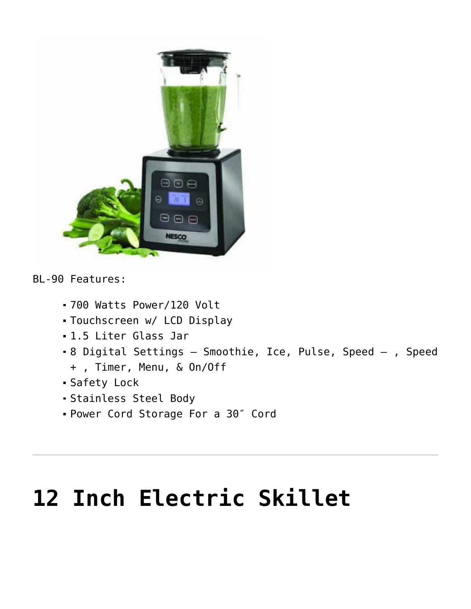

BL-90 Features:

- 700 Watts Power/120 Volt
- Touchscreen w/ LCD Display
- 1.5 Liter Glass Jar
- 8 Digital Settings Smoothie, Ice, Pulse, Speed , Speed
	- + , Timer, Menu, & On/Off
- Safety Lock
- Stainless Steel Body
- Power Cord Storage For a 30″ Cord

## **[12 Inch Electric Skillet](https://www.nesco.com/product/12-inch-electric-skillet/)**